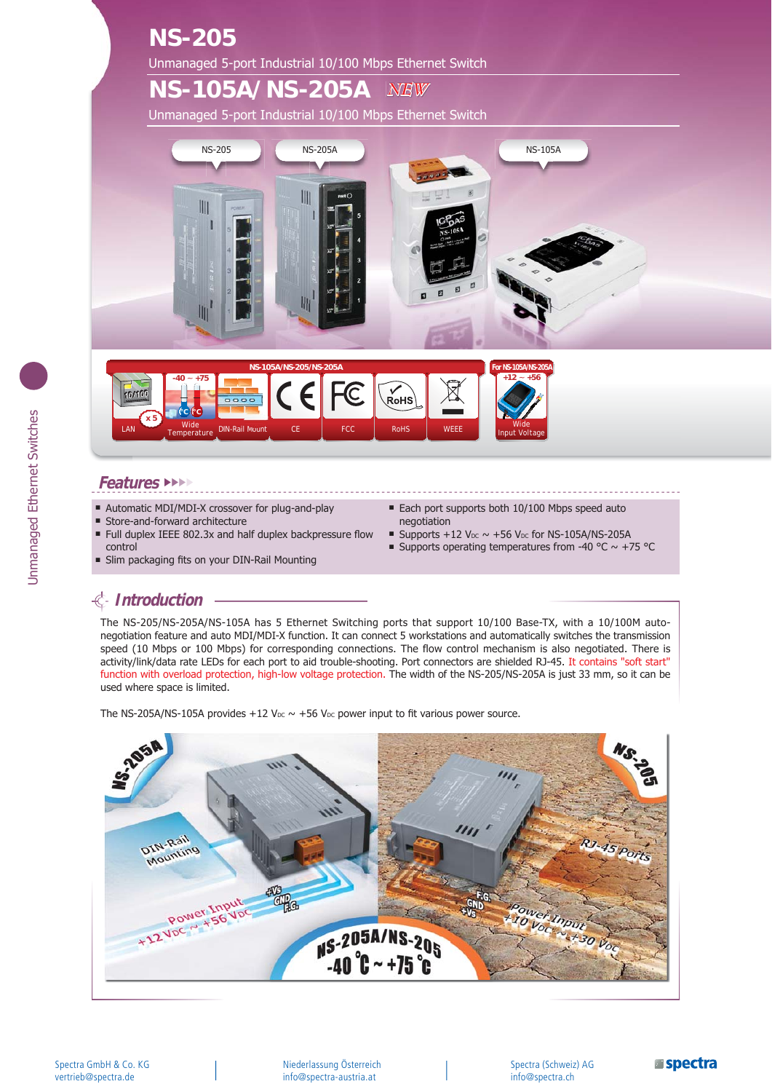### **NS-205** Unmanaged 5-port Industrial 10/100 Mbps Ethernet Switch

#### **NS-105A/NS-205A** *NEW*

Unmanaged 5-port Industrial 10/100 Mbps Ethernet Switch





#### **Features** ►►►►

- Automatic MDI/MDI-X crossover for plug-and-play
- **Store-and-forward architecture**
- Full duplex IEEE 802.3x and half duplex backpressure flow control
- In Slim packaging fits on your DIN-Rail Mounting
- Each port supports both 10/100 Mbps speed auto negotiation
- Supports +12  $V_{DC} \sim +56$  V<sub>DC</sub> for NS-105A/NS-205A
- Supports operating temperatures from -40 °C  $\sim$  +75 °C

# **Introduction**

The NS-205/NS-205A/NS-105A has 5 Ethernet Switching ports that support 10/100 Base-TX, with a 10/100M autonegotiation feature and auto MDI/MDI-X function. It can connect 5 workstations and automatically switches the transmission speed (10 Mbps or 100 Mbps) for corresponding connections. The flow control mechanism is also negotiated. There is activity/link/data rate LEDs for each port to aid trouble-shooting. Port connectors are shielded RJ-45. It contains "soft start" function with overload protection, high-low voltage protection. The width of the NS-205/NS-205A is just 33 mm, so it can be used where space is limited.

The NS-205A/NS-105A provides +12 V<sub>DC</sub>  $\sim$  +56 V<sub>DC</sub> power input to fit various power source.